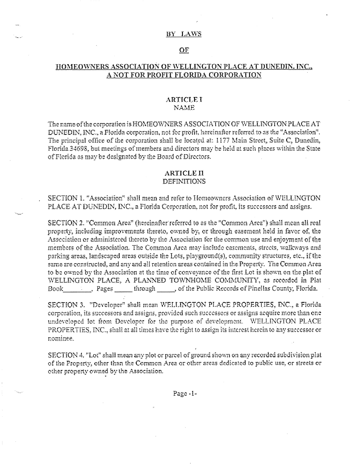#### BY LAWS

### OF

# HOMEOWNERS ASSOCIATION OF WELLINGTON PLACE AT DUNEDIN. INC., A NOT FOR PROFIT FLORIDA CORPORATION

### ARTICLEI **NAME**

The name of the corporation is HOMEOWNERS ASSOCIATION OF WELLINGTON PLACE AT DUNEDIN, INC., a Florida corporation, not for profit, hereinafter referred to as the "Association". The principal office of the corporation shall be located at: 1177 Main Street, Suite C, Danedin, Florida 34698, but meetings of members and directors may be held at such places within the State of Florida as may be designated by the Board of Directors.

#### **ARTICLE II DEFINITIONS**

# SECTION 1. "Association" shall mean and refer to Homeowners Association of WELLINGTON PLACE AT DUNEDIN, INC., a Florida Corporation, not for profit, its successors and assigns.

SECTION 2. "Common Area" (hereinafter referred to as the "Common Area") shall mean all real property, including improvements thereto, owned by, or through easement held in favor of, the Asseciation or administered thereto by the Association for the common use and enjoyment of the members of the Association. The Common Area may include easements, streets, walkways and parking areas, landscaped areas outside the Lots, playground(s), community structures, etc., if the same are constructed, and any and all retention areas contained in the Property. The Common Area to be owned by the Association at the time of conveyance of the first Lot is shown on the plat of WELLINGTON PLACE, A PLANNED TOWNHOME COMMUNITY, as recorded in Plat Book

SECTION 3. "Developer" shall mean WELLINGTON PLACE PROPERTIES, INC., a Florida corporation, its successors and assigns, provided such successors or assigns acquire more than one undeveloped lot from Developer for the purpose of development. WELLINGTON PLACE PROPERTIES. INC., shall at all times have the right to assign its interest herein to any successor or nominee.

SECTION 4. "Lot" shall mean any plot or parcel of ground shown on any recorded subdivision plat of the Property, other than the Common Area or other areas dedicated to public use, or streets or other property owned by the Association.

Page-1-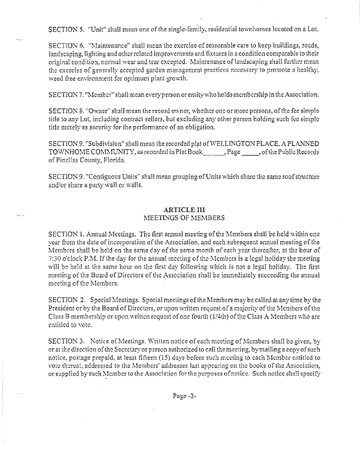SECTION 5. "Unit" shall mean one of the single-family, residential townhomes located on a Lot.

SECTION 6. "Maintenance" shall mean the exercise of reasonable care to keep buildings, roads, landscaping, lighting and other related improvements and fixtures in a condition comparable to their original condition, normal wear and tear excepted. Maintenance of landscaping shall further mean the exercise of generally accepted garden management practices necessary to promote a healthy, weed free environment for optimum plant growth.

SECTION 7. "Member" shall mean every person or entity who holds membership in the Association.

SECTION 8. "Owner" shall mean the record owner, whether one or more persons, of the fee simple litle to any Lot, including contract sellers, but excluding any other person holding such fee simple title metely as security for the performance of an obligation.

SECTION 9. "Subdivision" shall mean the recorded plat of WELLINGTON PLACE, A PLANNED TOWNHOME COMMUNITY, as recorded in Plat Book Page Rese Republic Records of Pinellas County, Florida.

SECTION 9. "Contiguous Units" shall mean grouping of Units which share the same roof structure and/or share a party wall or walls.

# **ARTICLE III**

# MEETINGS OF MEMBERS

SECTION 1. Annual Meetings. The first annual meeting of the Members shall be held within one year from the date of incorporation of the Association, and each subsequent annual meeting of the Members shall be held on the same day of the same month of each year thereafter, at the hour of 7:30 o'clock P.M. If the day for the annual meeting of the Members is a legal holiday the meeting will be held at the same hour on the first day following which is not a legal holiday. The first meeting of the Board of Directors of the Association shall be immediately succeeding the annual meeting of the Members.

SECTION 2. Special Meetings. Special meetings of the Members may be called at any time by the President or by the Board of Directors, or upon written request of a majority of the Members of the Class B membership or upon written request of one fourth (1/4th) of the Class A Members who are entitled to vote.

SECTION 3. Notice of Meetings. Written notice of each meeting of Members shall be given, by or at the direction of the Secretary or person authorized to call the meeting, by mailing a copy of such notice, postage prepaid, at least fifteen (15) days before such meeting to each Member entitled to vote thereat, addressed to the Members' addresses last appearing on the books of the Association, or supplied by such Member to the Association for the purposes of notice. Such notice shall specify

Page -2-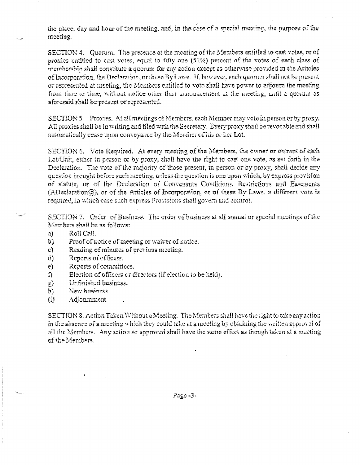the place, day and hour of the meeting, and, in the case of a special meeting, the purpose of the meeting.

SECTION 4. Quorum. The presence at the meeting of the Members entitled to cast votes, or of proxies entitled to east votes, equal to fifty one (51%) percent of the votes of each class of membership shall constitute a quorum for any action except as otherwise provided in the Articles. of Incorporation, the Declaration, or these By Laws. If, however, such quorum shall not be present or represented at meeting, the Members entitled to vote shall have power to adjourn the meeting from time to time, without notice other than announcement at the meeting, until a quorum as aforesaid shall be present or represented.

SECTION 5 Proxies. At all meetings of Members, each Member may vote in person or by proxy. All proxies shall be in writing and filed with the Secretary. Every proxy shall be revocable and shall automatically cease upon conveyance by the Member of his or her Lot.

SECTION 6. Vote Required. At every meeting of the Members, the owner or owners of each Lot/Unit, either in person or by proxy, shall have the right to cast one vote, as set forth in the Declaration. The vote of the majority of those present, in person or by proxy, shall decide any question brought before such meeting, unless the question is one upon which, by express provision of statute, or of the Declaration of Convenants Conditions, Restrictions and Easements (ADeclaration(a)), or of the Articles of Incorporation, or of these By Laws, a different vote is required, in which case such express Provisions shall govern and control.

SECTION 7. Order of Business. The order of business at all annual or special meetings of the Members shall be as follows:

- $a)$ Roll Call.
- $b$ Proof of notice of meeting or waiver of notice.
- Reading of minutes of previous meeting. C)
- Reports of officers. đ)
- Reports of committees.  $e)$
- Election of officers or directors (if election to be held). f).
- Unfinished business.  $g$ )
- New business.  $\mathbf{h}$
- $\Omega$ Adjournment.

SECTION 8. Action Taken Without a Meeting. The Members shall have the right to take any action in the absence of a meeting which they could take at a meeting by obtaining the written approval of all the Members. Any action so approved shall have the same effect as though taken at a meeting of the Members.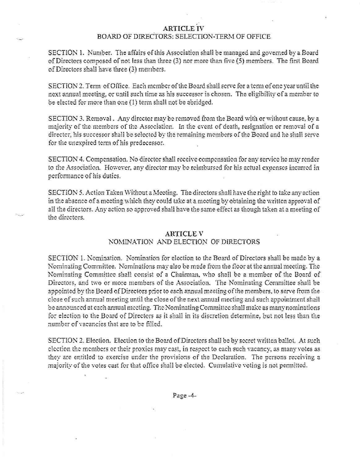### **ARTICLE IV BOARD OF DIRECTORS: SELECTION-TERM OF OFFICE**

SECTION 1. Number. The affairs of this Association shall be managed and governed by a Board of Directors composed of not less than three (3) nor more than five (5) members. The first Board of Directors shall have three (3) members.

SECTION 2. Term of Office. Each member of the Board shall serve for a term of one year until the next annual meeting, or until such time as his successor is chosen. The eligibility of a member to be elected for more than one (1) term shall not be abridged.

SECTION 3. Removal. Any director may be removed from the Board with or without cause, by a majority of the members of the Association. In the event of death, resignation or removal of a director, his successor shall be selected by the remaining members of the Board and he shall serve for the unexpired term of his predecessor.

SECTION 4. Compensation. No director shall receive compensation for any service he may render to the Association. However, any director may be reimbursed for his actual expenses incurred in performance of his duties.

SECTION 5. Action Taken Without a Meeting. The directors shall have the right to take any action in the absence of a meeting which they could take at a meeting by obtaining the written approval of all the directors. Any action so approved shall have the same effect as though taken at a meeting of the directors.

#### **ARTICLE V**

# NOMINATION AND ELECTION OF DIRECTORS

SECTION 1. Nomination. Nomination for election to the Board of Directors shall be made by a Nominating Committee. Nominations may also be made from the floor at the annual meeting. The Nominating Committee shall consist of a Chairman, who shall be a member of the Board of Directors, and two or more members of the Association. The Nominating Committee shall be appointed by the Board of Directors prior to each annual meeting of the members, to serve from the close of such annual meeting until the close of the next annual meeting and such appointment shall be announced at each annual meeting. The Nominating Committee shall make as many nominations for election to the Board of Directors as it shall in its discretion determine, but not less than the number of vacancies that are to be filled.

SECTION 2. Election. Election to the Board of Directors shall be by secret written ballot. At such election the members or their proxies may east, in respect to each such vacancy, as many votes as they are entitled to exercise under the provisions of the Declaration. The persons receiving a majority of the votes cast for that office shall be elected. Cumulative voting is not permitted.

Page -4-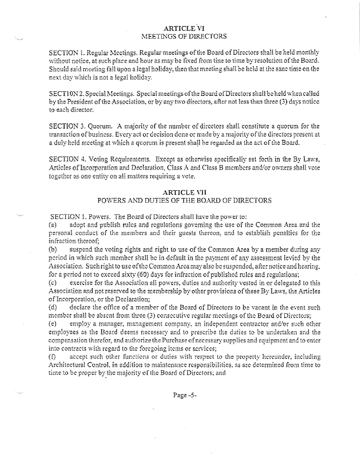### **ARTICLE VI** MEETINGS OF DIRECTORS

SECTION 1. Regular Meetings. Regular meetings of the Board of Directors shall be held monthly without notice, at such place and hour as may be fixed from tine to time by resolution of the Board. Should said meeting fall upon a legal holiday, then that meeting shall be held at the sane time on the next day which is not a legal holiday.

SECT10N 2. Special Meetings. Special meetings of the Board of Directors shall be held when called by the President of the Association, or by any two directors, after not less than three (3) days notice to each director.

SECTION 3. Quorum. A majority of the number of directors shall constitute a quorum for the transaction of business. Every act or decision done or made by a majority of the directors present at a duly held meeting at which a quorum is present shall be regarded as the act of the Board.

SECTION 4. Voling Requirements. Except as otherwise specifically set forth in the By Laws. Articles of Incorporation and Declaration, Class A and Class B members and/or owners shall vote together as one entity on all matters requiring a vote.

#### **ARTICLE VII**

### POWERS AND DUTIES OF THE BOARD OF DIRECTORS

SECTION 1. Powers. The Board of Directors shall have the power to:

adopt and publish rules and regulations governing the use of the Common Area and the  $\left( z \right)$ personal conduct of the members and their guests thereon, and to establish penalties for the Infraction thereof.

suspend the voting rights and right to use of the Common Area by a member during any  $\{b\}$ period in which such member shall be in default in the payment of any assessment levied by the Association. Such right to use of the Common Area may also be suspended, after notice and hearing. for a period not to exceed sixty (60) days for infraction of published rules and regulations;

exercise for the Association all powers, duties and authority vested in or delegated to this  $(c)$ Association and not reserved to the membership by other provisions of these By Laws, the Articles of Incorporation, or the Declaration;

 $(d)$ declare the office of a member of the Board of Directors to be vacant in the event such member shall be absent from three (3) consecutive regular meetings of the Board of Directors:

employ a manager, management company, an independent contractor and/or such other  $(e)$ employees as the Board deems necessary and to prescribe the duties to be undertaken and the compensation therefor, and authorize the Purchase of necessary supplies and equipment and to enter into contracts with regard to the foregoing items or services;

accept such other functions or duties with respect to the property hereunder, including  $\Omega$ Architectural Control, in addition to maintenance responsibilities, as are determined from time to time to be proper by the majority of the Board of Directors; and

Page -5-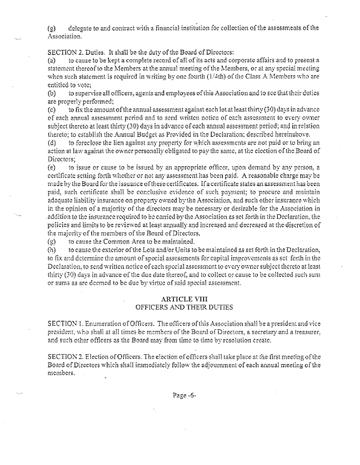delegate to and contract with a financial institution for collection of the assessments of the  $\left( \mathbf{e} \right)$ Association.

SECTION 2. Duties. It shall be the duty of the Board of Directors:

to cause to be kept a complete record of all of its acts and corporate affairs and to present a  $(\equiv)$ statement thereof to the Members at the annual meeting of the Members, or at any special meeting when such statement is required in writing by one fourth  $(1/4th)$  of the Class A Members who are entitled to vote:

to supervise all officers, agents and employees of this Association and to see that their duties  $\mathbf{D}$ are properly performed;

to fix the amount of the annual assessment against each lot at least thirty (30) days in advance  $\mathcal{C}$ of each annual assessment period and to send written notice of each assessment to every owner subject thereto at least thirty (30) days in advance of each annual assessment period; and in relation thereto: to establish the Annual Budget as Provided in the Declaration; described hereinabove.

to foreclose the lien against any property for which assessments are not paid or to bring an  $\left( d \right)$ action at law against the owner personally obligated to pay the same, at the election of the Board of Directors:

to issue or cause to be issued by an appropriate officer, upon demand by any person, a  $(e)$ eertificate setting forth whether or not any assessment has been paid. A reasonable charge may be made by the Board for the issuance of these certificates. If a certificate states an assessment has been paid, such certificate shall be conclusive cyidence of such payment; to procure and maintain adequate liability insurance on property owned by the Association, and such other insurance which in the opinion of a majority of the directors may be necessary or desirable for the Association in addition to the insurance required to be carried by the Association as set forth in the Declaration, the policies and limits to be reviewed at least annually and increased and decreased at the discretion of the majority of the members of the Board of Directors.

to cause the Common Area to be maintained.  $\left( \varepsilon \right)$ 

to eause the exterior of the Lots and/or Units to be maintained as set forth in the Declaration.  $(h)$ to fix and determine the amount of special assessments for capital improvements as set forth in the Declaration, to send written notice of each special assessment to every owner subject thereto at least thirty (30) days in advance of the due date thereof, and to collect or cause to be collected such sum or sums as are deemed to be due by virtue of said special assessment.

### **ARTICLE VIII** OFFICERS AND THEIR DUTIES

SECTION 1. Enumeration of Officers. The officers of this Association shall be a president and vice president, who shall at all times be members of the Board of Directors, a secretary and a treasurer. and such other officers as the Board may from time to time by resolution create.

SECTION 2. Election of Officers. The election of officers shall take place at the first meeting of the Board of Directors which shall immediately follow the adjournment of each annual meeting of the members.

Page-6-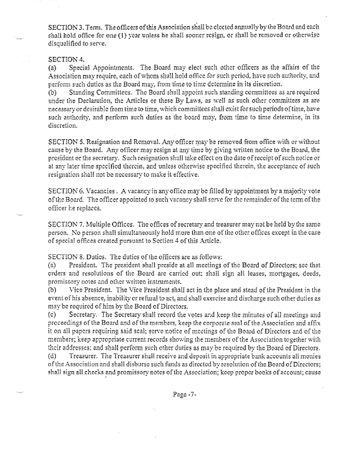SECTION 3. Term. The officers of this Association shall be elected annually by the Board and each shall hold office for one (1) year unless he shall sooner resign, or shall be removed or otherwise disqualified to serve.

#### SECTION 4.

Special Appointments. The Board may elect such other officers as the affairs of the  $(a)$ Association may require, each of whom shall hold office for such period, have such authority, and perform such duties as the Board may, from time to time determine in its discretion.

Standing Committees. The Board shall appoint such standing committees as are required  $(b)$ under the Declaration, the Articles or these By Laws, as well as such other committees as are necessary or desirable from time to time, which committees shall oxist for such periods of time, have such authority, and perform such duffes as the board may, from time to time determine, in its discretion.

SECTION 5. Resignation and Removal. Any officer may be removed from office with or without cause by the Board. Any officer may resign at any time by giving written notice to the Board, the president or the secretary. Such resignation shall take effect on the date of receipt of such notice or at any later time specified therein, and unless otherwise specified therein, the acceptance of such resignation shall not be necessary to make it effective.

SECTION 6. Vacancies . A vacancy in any office may be filled by appointment by a majority vote of the Board. The officer appointed to such vacancy shall serve for the remainder of the term of the officer he replaces.

SECTION 7. Multiple Offices. The offices of secretary and treasurer may not be held by the same person. No person shall simultaneously hold more than one of the other offices except in the case of special offices created pursuant to Section 4 of this Article,

SECTION 8. Dutics. The duties of the officers are as follows:

President. The president shall preside at all meetings of the Board of Directors; see that  $(a)$ orders and resolutions of the Board are carried out; shall sign all leases, mortgages, deeds, promissory notes and other written instruments.

 $(b)$ Vice President. The Vice President shall act in the place and stead of the President in the event of his absence, inability or refusal to act, and shall exercise and discharge such other duties as may be required of him by the Board of Directors.

Secretary. The Secretary shall record the votes and keep the minutes of all meetings and  $(c)$ proceedings of the Board and of the members, keep the corporate seal of the Association and affix it on all papers requiring said seal; serve notice of meetings of the Board of Directors and of the members; keep appropriate current records showing the members of the Association together with their addresses; and shall perform such other duties as may be required by the Board of Directors.

Treasurer. The Treasurer shall receive and deposit in appropriate bank accounts all monies  $(d)$ of the Association and shall disburse such funds as directed by resolution of the Board of Directors: shall sign all checks and promissory notes of the Association; keep proper books of account; cause

Page-7-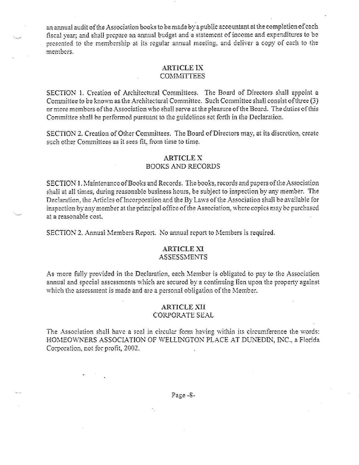an annual audit of the Association books to be made by a public accountant at the completion of each fiscal year; and shall prepare an annual budget and a statement of income and expenditures to be presented to the membership at its regular annual meeting, and deliver a copy of each to the menibers.

### **ARTICLE IX COMMITTEES**

SECTION 1. Creation of Architectural Committees. The Board of Directors shall appoint a Committee to be known as the Architectural Committee. Such Committee shall consist of three (3) or more members of the Association who shall serve at the pleasure of the Board. The duties of this Committee shall be performed pursuant to the guidelines set forth in the Declaration.

SECTION 2. Creation of Other Committees. The Board of Directors may, at its discretion, create such other Committees as it sees fit, from time to time.

### **ARTICLE X**

# **BOOKS AND RECORDS**

SECTION 1. Maintenance of Books and Records. The books, records and papers of the Association shall at all times, during reasonable business hours, be subject to inspection by any member. The Declaration, the Articles of Incorporation and the By Laws of the Association shall be available for inspection by any member at the principal office of the Association, where copies may be purchased at a reasonable cost.

SECTION 2. Annual Members Report. No annual report to Members is required.

### **ARTICLE XI ASSESSMENTS**

As more fully provided in the Declaration, each Member is obligated to pay to the Association annual and special assessments which are secured by a continuing lien upon the property against which the assessment is made and are a personal obligation of the Member.

### **ARTICLE XII CORPORATE SEAL**

The Association shall have a seal in circular form having within its circumference the words: HOMEOWNERS ASSOCIATION OF WELLINGTON PLACE AT DUNEDIN, INC., a Florida Corporation, not for profit, 2002.

Page-8-